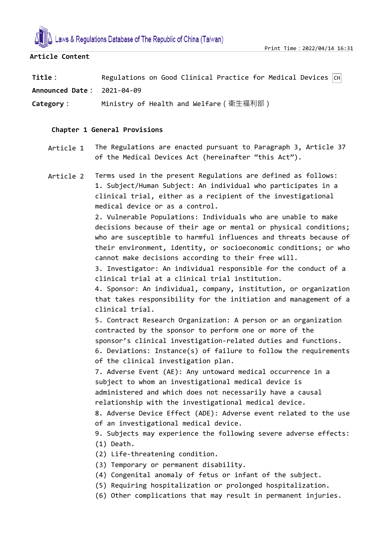

## **Article Content**

| Title:                     | Regulations on Good Clinical Practice for Medical Devices $\boxed{CH}$ |  |  |  |  |
|----------------------------|------------------------------------------------------------------------|--|--|--|--|
| Announced Date: 2021-04-09 |                                                                        |  |  |  |  |

**Category:** Ministry of Health and Welfare(衛生福利部)

## **Chapter 1 General Provisions**

Article 1 The Regulations are enacted pursuant to Paragraph 3, Article 37 of the Medical Devices Act (hereinafter "this Act").

Article 2 Terms used in the present Regulations are defined as follows: 1. Subject/Human Subject: An individual who participates in a clinical trial, either as a recipient of the investigational medical device or as a control.

> 2. Vulnerable Populations: Individuals who are unable to make decisions because of their age or mental or physical conditions; who are susceptible to harmful influences and threats because of their environment, identity, or socioeconomic conditions; or who cannot make decisions according to their free will.

3. Investigator: An individual responsible for the conduct of a clinical trial at a clinical trial institution.

4. Sponsor: An individual, company, institution, or organization that takes responsibility for the initiation and management of a clinical trial.

5. Contract Research Organization: A person or an organization contracted by the sponsor to perform one or more of the sponsor's clinical investigation-related duties and functions. 6. Deviations: Instance(s) of failure to follow the requirements of the clinical investigation plan.

7. Adverse Event (AE): Any untoward medical occurrence in a subject to whom an investigational medical device is administered and which does not necessarily have a causal relationship with the investigational medical device.

8. Adverse Device Effect (ADE): Adverse event related to the use of an investigational medical device.

9. Subjects may experience the following severe adverse effects: (1) Death.

(2) Life-threatening condition.

(3) Temporary or permanent disability.

- (4) Congenital anomaly of fetus or infant of the subject.
- (5) Requiring hospitalization or prolonged hospitalization.
- (6) Other complications that may result in permanent injuries.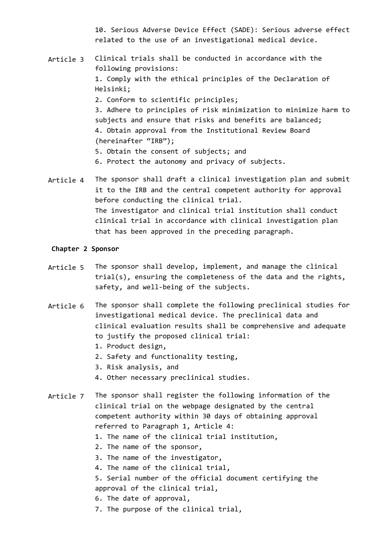10. Serious Adverse Device Effect (SADE): Serious adverse effect related to the use of an investigational medical device.

- Article 3 Clinical trials shall be conducted in accordance with the following provisions: 1. Comply with the ethical principles of the Declaration of Helsinki; 2. Conform to scientific principles; 3. Adhere to principles of risk minimization to minimize harm to subjects and ensure that risks and benefits are balanced;
	- 4. Obtain approval from the Institutional Review Board (hereinafter "IRB");
	- 5. Obtain the consent of subjects; and
	- 6. Protect the autonomy and privacy of subjects.
- Article 4 The sponsor shall draft a clinical investigation plan and submit it to the IRB and the central competent authority for approval before conducting the clinical trial. The investigator and clinical trial institution shall conduct clinical trial in accordance with clinical investigation plan that has been approved in the preceding paragraph.

#### **Chapter 2 Sponsor**

- Article 5 The sponsor shall develop, implement, and manage the clinical trial(s), ensuring the completeness of the data and the rights, safety, and well-being of the subjects.
- Article 6 The sponsor shall complete the following preclinical studies for investigational medical device. The preclinical data and clinical evaluation results shall be comprehensive and adequate to justify the proposed clinical trial:
	- 1. Product design,
	- 2. Safety and functionality testing,
	- 3. Risk analysis, and
	- 4. Other necessary preclinical studies.
- Article 7 The sponsor shall register the following information of the clinical trial on the webpage designated by the central competent authority within 30 days of obtaining approval referred to Paragraph 1, Article 4:
	- 1. The name of the clinical trial institution,
	- 2. The name of the sponsor,
	- 3. The name of the investigator,
	- 4. The name of the clinical trial,
	- 5. Serial number of the official document certifying the approval of the clinical trial,
	- 6. The date of approval,
	- 7. The purpose of the clinical trial,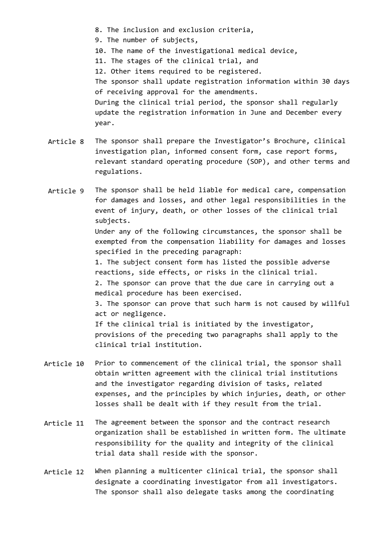- 8. The inclusion and exclusion criteria,
- 9. The number of subjects,
- 10. The name of the investigational medical device,
- 11. The stages of the clinical trial, and

12. Other items required to be registered.

The sponsor shall update registration information within 30 days of receiving approval for the amendments. During the clinical trial period, the sponsor shall regularly update the registration information in June and December every year.

Article 8 The sponsor shall prepare the Investigator's Brochure, clinical investigation plan, informed consent form, case report forms, relevant standard operating procedure (SOP), and other terms and regulations.

Article 9 The sponsor shall be held liable for medical care, compensation for damages and losses, and other legal responsibilities in the event of injury, death, or other losses of the clinical trial subjects. Under any of the following circumstances, the sponsor shall be exempted from the compensation liability for damages and losses specified in the preceding paragraph: 1. The subject consent form has listed the possible adverse reactions, side effects, or risks in the clinical trial. 2. The sponsor can prove that the due care in carrying out a medical procedure has been exercised. 3. The sponsor can prove that such harm is not caused by willful act or negligence. If the clinical trial is initiated by the investigator, provisions of the preceding two paragraphs shall apply to the clinical trial institution.

- Article 10 Prior to commencement of the clinical trial, the sponsor shall obtain written agreement with the clinical trial institutions and the investigator regarding division of tasks, related expenses, and the principles by which injuries, death, or other losses shall be dealt with if they result from the trial.
- Article 11 The agreement between the sponsor and the contract research organization shall be established in written form. The ultimate responsibility for the quality and integrity of the clinical trial data shall reside with the sponsor.
- Article 12 When planning a multicenter clinical trial, the sponsor shall designate a coordinating investigator from all investigators. The sponsor shall also delegate tasks among the coordinating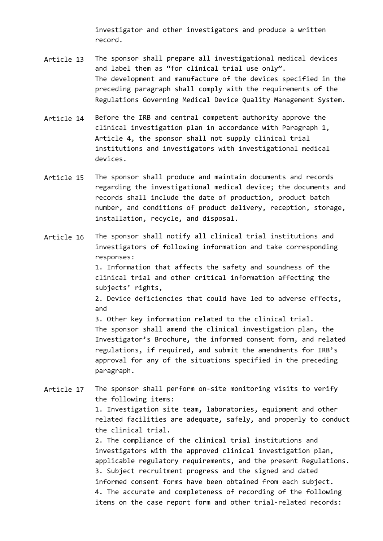investigator and other investigators and produce a written record.

- Article 13 The sponsor shall prepare all investigational medical devices and label them as "for clinical trial use only". The development and manufacture of the devices specified in the preceding paragraph shall comply with the requirements of the Regulations Governing Medical Device Quality Management System.
- Article 14 Before the IRB and central competent authority approve the clinical investigation plan in accordance with Paragraph 1, Article 4, the sponsor shall not supply clinical trial institutions and investigators with investigational medical devices.
- Article 15 The sponsor shall produce and maintain documents and records regarding the investigational medical device; the documents and records shall include the date of production, product batch number, and conditions of product delivery, reception, storage, installation, recycle, and disposal.
- Article 16 The sponsor shall notify all clinical trial institutions and investigators of following information and take corresponding responses: 1. Information that affects the safety and soundness of the clinical trial and other critical information affecting the subjects' rights, 2. Device deficiencies that could have led to adverse effects, and 3. Other key information related to the clinical trial. The sponsor shall amend the clinical investigation plan, the Investigator's Brochure, the informed consent form, and related

regulations, if required, and submit the amendments for IRB's approval for any of the situations specified in the preceding paragraph.

Article 17 The sponsor shall perform on-site monitoring visits to verify the following items:

> 1. Investigation site team, laboratories, equipment and other related facilities are adequate, safely, and properly to conduct the clinical trial.

> 2. The compliance of the clinical trial institutions and investigators with the approved clinical investigation plan, applicable regulatory requirements, and the present Regulations. 3. Subject recruitment progress and the signed and dated informed consent forms have been obtained from each subject. 4. The accurate and completeness of recording of the following items on the case report form and other trial-related records: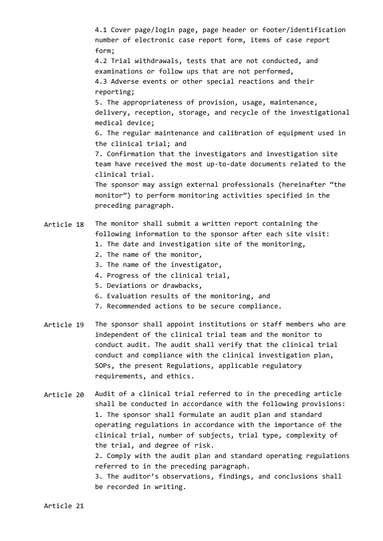4.1 Cover page/login page, page header or footer/identification number of electronic case report form, items of case report form; 4.2 Trial withdrawals, tests that are not conducted, and examinations or follow ups that are not performed, 4.3 Adverse events or other special reactions and their reporting; 5. The appropriateness of provision, usage, maintenance, delivery, reception, storage, and recycle of the investigational medical device; 6. The regular maintenance and calibration of equipment used in the clinical trial; and 7. Confirmation that the investigators and investigation site team have received the most up-to-date documents related to the clinical trial. The sponsor may assign external professionals (hereinafter "the monitor") to perform monitoring activities specified in the preceding paragraph.

#### Article 18 The monitor shall submit a written report containing the following information to the sponsor after each site visit:

- 1. The date and investigation site of the monitoring,
- 2. The name of the monitor,
- 3. The name of the investigator,
- 4. Progress of the clinical trial,
- 5. Deviations or drawbacks,
- 6. Evaluation results of the monitoring, and
- 7. Recommended actions to be secure compliance.
- Article 19 The sponsor shall appoint institutions or staff members who are independent of the clinical trial team and the monitor to conduct audit. The audit shall verify that the clinical trial conduct and compliance with the clinical investigation plan, SOPs, the present Regulations, applicable regulatory requirements, and ethics.

Article 20 Audit of a clinical trial referred to in the preceding article shall be conducted in accordance with the following provisions: 1. The sponsor shall formulate an audit plan and standard operating regulations in accordance with the importance of the clinical trial, number of subjects, trial type, complexity of the trial, and degree of risk. 2. Comply with the audit plan and standard operating regulations referred to in the preceding paragraph. 3. The auditor's observations, findings, and conclusions shall be recorded in writing.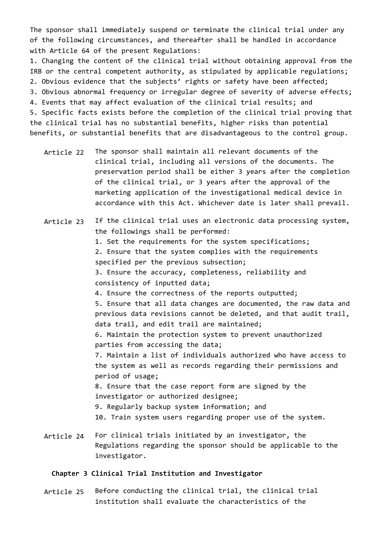The sponsor shall immediately suspend or terminate the clinical trial under any of the following circumstances, and thereafter shall be handled in accordance with Article 64 of the present Regulations:

1. Changing the content of the clinical trial without obtaining approval from the IRB or the central competent authority, as stipulated by applicable regulations; 2. Obvious evidence that the subjects' rights or safety have been affected; 3. Obvious abnormal frequency or irregular degree of severity of adverse effects; 4. Events that may affect evaluation of the clinical trial results; and 5. Specific facts exists before the completion of the clinical trial proving that the clinical trial has no substantial benefits, higher risks than potential benefits, or substantial benefits that are disadvantageous to the control group.

- Article 22 The sponsor shall maintain all relevant documents of the clinical trial, including all versions of the documents. The preservation period shall be either 3 years after the completion of the clinical trial, or 3 years after the approval of the marketing application of the investigational medical device in accordance with this Act. Whichever date is later shall prevail.
- Article 23 Article 24 If the clinical trial uses an electronic data processing system, the followings shall be performed: 1. Set the requirements for the system specifications; 2. Ensure that the system complies with the requirements specified per the previous subsection; 3. Ensure the accuracy, completeness, reliability and consistency of inputted data; 4. Ensure the correctness of the reports outputted; 5. Ensure that all data changes are documented, the raw data and previous data revisions cannot be deleted, and that audit trail, data trail, and edit trail are maintained; 6. Maintain the protection system to prevent unauthorized parties from accessing the data; 7. Maintain a list of individuals authorized who have access to the system as well as records regarding their permissions and period of usage; 8. Ensure that the case report form are signed by the investigator or authorized designee; 9. Regularly backup system information; and 10. Train system users regarding proper use of the system. For clinical trials initiated by an investigator, the
	- Regulations regarding the sponsor should be applicable to the investigator.

## **Chapter 3 Clinical Trial Institution and Investigator**

Article 25 Before conducting the clinical trial, the clinical trial institution shall evaluate the characteristics of the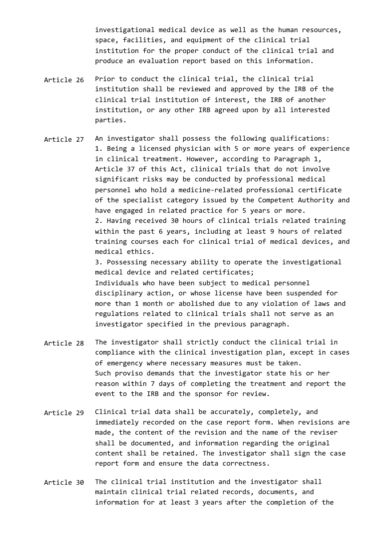investigational medical device as well as the human resources, space, facilities, and equipment of the clinical trial institution for the proper conduct of the clinical trial and produce an evaluation report based on this information.

- Article 26 Prior to conduct the clinical trial, the clinical trial institution shall be reviewed and approved by the IRB of the clinical trial institution of interest, the IRB of another institution, or any other IRB agreed upon by all interested parties.
- Article 27 An investigator shall possess the following qualifications: 1. Being a licensed physician with 5 or more years of experience in clinical treatment. However, according to Paragraph 1, Article 37 of this Act, clinical trials that do not involve significant risks may be conducted by professional medical personnel who hold a medicine-related professional certificate of the specialist category issued by the Competent Authority and have engaged in related practice for 5 years or more. 2. Having received 30 hours of clinical trials related training within the past 6 years, including at least 9 hours of related training courses each for clinical trial of medical devices, and medical ethics.

3. Possessing necessary ability to operate the investigational medical device and related certificates; Individuals who have been subject to medical personnel disciplinary action, or whose license have been suspended for more than 1 month or abolished due to any violation of laws and regulations related to clinical trials shall not serve as an investigator specified in the previous paragraph.

- Article 28 The investigator shall strictly conduct the clinical trial in compliance with the clinical investigation plan, except in cases of emergency where necessary measures must be taken. Such proviso demands that the investigator state his or her reason within 7 days of completing the treatment and report the event to the IRB and the sponsor for review.
- Article 29 Clinical trial data shall be accurately, completely, and immediately recorded on the case report form. When revisions are made, the content of the revision and the name of the reviser shall be documented, and information regarding the original content shall be retained. The investigator shall sign the case report form and ensure the data correctness.
- Article 30 The clinical trial institution and the investigator shall maintain clinical trial related records, documents, and information for at least 3 years after the completion of the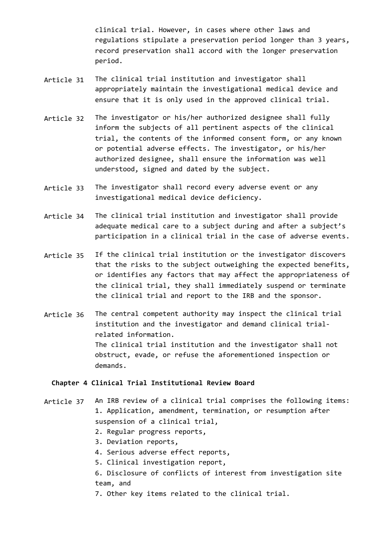clinical trial. However, in cases where other laws and regulations stipulate a preservation period longer than 3 years, record preservation shall accord with the longer preservation period.

- Article 31 The clinical trial institution and investigator shall appropriately maintain the investigational medical device and ensure that it is only used in the approved clinical trial.
- Article 32 The investigator or his/her authorized designee shall fully inform the subjects of all pertinent aspects of the clinical trial, the contents of the informed consent form, or any known or potential adverse effects. The investigator, or his/her authorized designee, shall ensure the information was well understood, signed and dated by the subject.
- Article 33 The investigator shall record every adverse event or any investigational medical device deficiency.
- Article 34 The clinical trial institution and investigator shall provide adequate medical care to a subject during and after a subject's participation in a clinical trial in the case of adverse events.
- Article 35 If the clinical trial institution or the investigator discovers that the risks to the subject outweighing the expected benefits, or identifies any factors that may affect the appropriateness of the clinical trial, they shall immediately suspend or terminate the clinical trial and report to the IRB and the sponsor.
- Article 36 The central competent authority may inspect the clinical trial institution and the investigator and demand clinical trialrelated information. The clinical trial institution and the investigator shall not obstruct, evade, or refuse the aforementioned inspection or demands.

# **Chapter 4 Clinical Trial Institutional Review Board**

- Article 37 An IRB review of a clinical trial comprises the following items: 1. Application, amendment, termination, or resumption after suspension of a clinical trial,
	- 2. Regular progress reports,
	- 3. Deviation reports,
	- 4. Serious adverse effect reports,
	- 5. Clinical investigation report,
	- 6. Disclosure of conflicts of interest from investigation site team, and
	- 7. Other key items related to the clinical trial.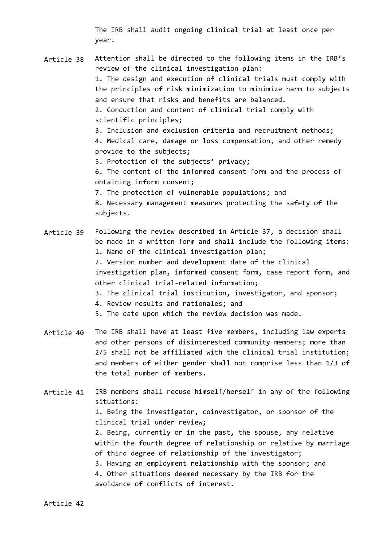The IRB shall audit ongoing clinical trial at least once per year.

- Article 38 Article 39 Attention shall be directed to the following items in the IRB's review of the clinical investigation plan: 1. The design and execution of clinical trials must comply with the principles of risk minimization to minimize harm to subjects and ensure that risks and benefits are balanced. 2. Conduction and content of clinical trial comply with scientific principles; 3. Inclusion and exclusion criteria and recruitment methods; 4. Medical care, damage or loss compensation, and other remedy provide to the subjects; 5. Protection of the subjects' privacy; 6. The content of the informed consent form and the process of obtaining inform consent; 7. The protection of vulnerable populations; and 8. Necessary management measures protecting the safety of the subjects. Following the review described in Article 37, a decision shall be made in a written form and shall include the following items:
	- 1. Name of the clinical investigation plan;

2. Version number and development date of the clinical investigation plan, informed consent form, case report form, and other clinical trial-related information;

- 3. The clinical trial institution, investigator, and sponsor;
- 4. Review results and rationales; and

5. The date upon which the review decision was made.

- Article 40 The IRB shall have at least five members, including law experts and other persons of disinterested community members; more than 2/5 shall not be affiliated with the clinical trial institution; and members of either gender shall not comprise less than 1/3 of the total number of members.
- Article 41 IRB members shall recuse himself/herself in any of the following situations: 1. Being the investigator, coinvestigator, or sponsor of the clinical trial under review; 2. Being, currently or in the past, the spouse, any relative within the fourth degree of relationship or relative by marriage of third degree of relationship of the investigator; 3. Having an employment relationship with the sponsor; and 4. Other situations deemed necessary by the IRB for the avoidance of conflicts of interest.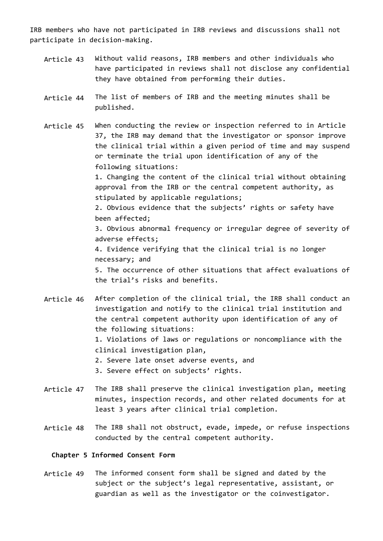IRB members who have not participated in IRB reviews and discussions shall not participate in decision-making.

- Article 43 Without valid reasons, IRB members and other individuals who have participated in reviews shall not disclose any confidential they have obtained from performing their duties.
- Article 44 The list of members of IRB and the meeting minutes shall be published.
- Article 45 When conducting the review or inspection referred to in Article 37, the IRB may demand that the investigator or sponsor improve the clinical trial within a given period of time and may suspend or terminate the trial upon identification of any of the following situations:

1. Changing the content of the clinical trial without obtaining approval from the IRB or the central competent authority, as stipulated by applicable regulations;

2. Obvious evidence that the subjects' rights or safety have been affected;

3. Obvious abnormal frequency or irregular degree of severity of adverse effects;

4. Evidence verifying that the clinical trial is no longer necessary; and

5. The occurrence of other situations that affect evaluations of the trial's risks and benefits.

- Article 46 After completion of the clinical trial, the IRB shall conduct an investigation and notify to the clinical trial institution and the central competent authority upon identification of any of the following situations: 1. Violations of laws or regulations or noncompliance with the clinical investigation plan, 2. Severe late onset adverse events, and 3. Severe effect on subjects' rights.
- Article 47 The IRB shall preserve the clinical investigation plan, meeting minutes, inspection records, and other related documents for at least 3 years after clinical trial completion.
- Article 48 The IRB shall not obstruct, evade, impede, or refuse inspections conducted by the central competent authority.

## **Chapter 5 Informed Consent Form**

Article 49 The informed consent form shall be signed and dated by the subject or the subject's legal representative, assistant, or guardian as well as the investigator or the coinvestigator.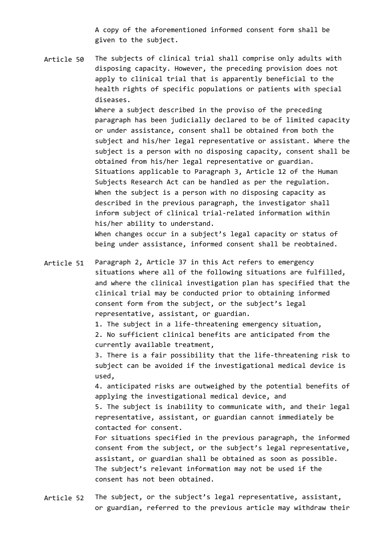A copy of the aforementioned informed consent form shall be given to the subject.

Article 50 The subjects of clinical trial shall comprise only adults with disposing capacity. However, the preceding provision does not apply to clinical trial that is apparently beneficial to the health rights of specific populations or patients with special diseases.

> Where a subject described in the proviso of the preceding paragraph has been judicially declared to be of limited capacity or under assistance, consent shall be obtained from both the subject and his/her legal representative or assistant. Where the subject is a person with no disposing capacity, consent shall be obtained from his/her legal representative or guardian. Situations applicable to Paragraph 3, Article 12 of the Human Subjects Research Act can be handled as per the regulation. When the subject is a person with no disposing capacity as described in the previous paragraph, the investigator shall inform subject of clinical trial-related information within his/her ability to understand.

When changes occur in a subject's legal capacity or status of being under assistance, informed consent shall be reobtained.

Article 51 Paragraph 2, Article 37 in this Act refers to emergency situations where all of the following situations are fulfilled, and where the clinical investigation plan has specified that the clinical trial may be conducted prior to obtaining informed consent form from the subject, or the subject's legal representative, assistant, or guardian.

1. The subject in a life-threatening emergency situation,

2. No sufficient clinical benefits are anticipated from the currently available treatment,

3. There is a fair possibility that the life-threatening risk to subject can be avoided if the investigational medical device is used,

4. anticipated risks are outweighed by the potential benefits of applying the investigational medical device, and

5. The subject is inability to communicate with, and their legal representative, assistant, or guardian cannot immediately be contacted for consent.

For situations specified in the previous paragraph, the informed consent from the subject, or the subject's legal representative, assistant, or guardian shall be obtained as soon as possible. The subject's relevant information may not be used if the consent has not been obtained.

Article 52 The subject, or the subject's legal representative, assistant, or guardian, referred to the previous article may withdraw their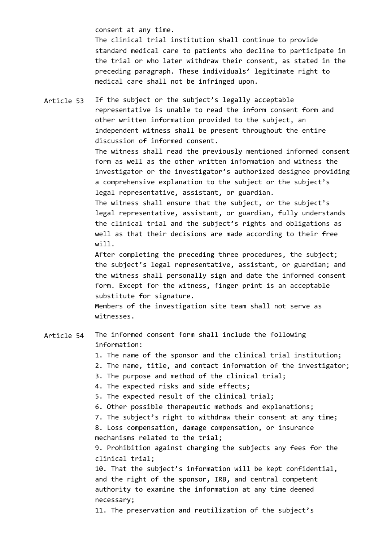consent at any time.

The clinical trial institution shall continue to provide standard medical care to patients who decline to participate in the trial or who later withdraw their consent, as stated in the preceding paragraph. These individuals' legitimate right to medical care shall not be infringed upon.

Article 53 If the subject or the subject's legally acceptable representative is unable to read the inform consent form and other written information provided to the subject, an independent witness shall be present throughout the entire discussion of informed consent.

> The witness shall read the previously mentioned informed consent form as well as the other written information and witness the investigator or the investigator's authorized designee providing a comprehensive explanation to the subject or the subject's legal representative, assistant, or guardian.

The witness shall ensure that the subject, or the subject's legal representative, assistant, or guardian, fully understands the clinical trial and the subject's rights and obligations as well as that their decisions are made according to their free will.

After completing the preceding three procedures, the subject; the subject's legal representative, assistant, or guardian; and the witness shall personally sign and date the informed consent form. Except for the witness, finger print is an acceptable substitute for signature.

Members of the investigation site team shall not serve as witnesses.

#### Article 54 The informed consent form shall include the following information:

1. The name of the sponsor and the clinical trial institution;

- 2. The name, title, and contact information of the investigator;
- 3. The purpose and method of the clinical trial;

4. The expected risks and side effects;

- 5. The expected result of the clinical trial;
- 6. Other possible therapeutic methods and explanations;

7. The subject's right to withdraw their consent at any time;

8. Loss compensation, damage compensation, or insurance mechanisms related to the trial;

9. Prohibition against charging the subjects any fees for the clinical trial;

10. That the subject's information will be kept confidential, and the right of the sponsor, IRB, and central competent authority to examine the information at any time deemed necessary;

11. The preservation and reutilization of the subject's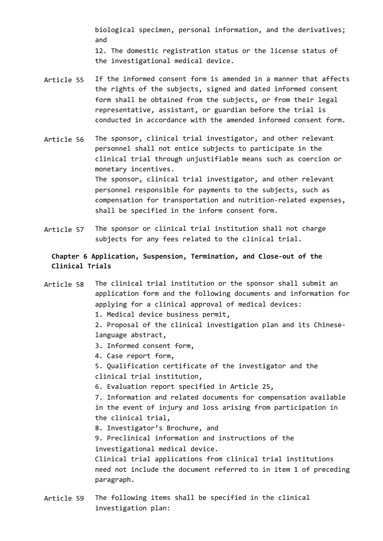biological specimen, personal information, and the derivatives; and 12. The domestic registration status or the license status of the investigational medical device.

- Article 55 If the informed consent form is amended in a manner that affects the rights of the subjects, signed and dated informed consent form shall be obtained from the subjects, or from their legal representative, assistant, or guardian before the trial is conducted in accordance with the amended informed consent form.
- Article 56 The sponsor, clinical trial investigator, and other relevant personnel shall not entice subjects to participate in the clinical trial through unjustifiable means such as coercion or monetary incentives. The sponsor, clinical trial investigator, and other relevant personnel responsible for payments to the subjects, such as compensation for transportation and nutrition-related expenses, shall be specified in the inform consent form.
- Article 57 The sponsor or clinical trial institution shall not charge subjects for any fees related to the clinical trial.

# **Chapter 6 Application, Suspension, Termination, and Close-out of the Clinical Trials**

Article 58 The clinical trial institution or the sponsor shall submit an application form and the following documents and information for applying for a clinical approval of medical devices: 1. Medical device business permit, 2. Proposal of the clinical investigation plan and its Chineselanguage abstract, 3. Informed consent form, 4. Case report form, 5. Qualification certificate of the investigator and the clinical trial institution, 6. Evaluation report specified in Article 25, 7. Information and related documents for compensation available in the event of injury and loss arising from participation in the clinical trial, 8. Investigator's Brochure, and 9. Preclinical information and instructions of the investigational medical device. Clinical trial applications from clinical trial institutions need not include the document referred to in item 1 of preceding paragraph.

Article 59 The following items shall be specified in the clinical investigation plan: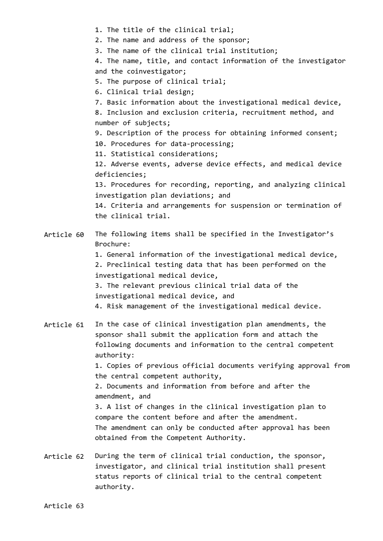- 1. The title of the clinical trial;
- 2. The name and address of the sponsor;
- 3. The name of the clinical trial institution;

4. The name, title, and contact information of the investigator and the coinvestigator;

- 5. The purpose of clinical trial;
- 6. Clinical trial design;
- 7. Basic information about the investigational medical device,

8. Inclusion and exclusion criteria, recruitment method, and number of subjects;

9. Description of the process for obtaining informed consent;

10. Procedures for data-processing;

11. Statistical considerations;

12. Adverse events, adverse device effects, and medical device deficiencies;

13. Procedures for recording, reporting, and analyzing clinical investigation plan deviations; and

14. Criteria and arrangements for suspension or termination of the clinical trial.

#### Article 60 The following items shall be specified in the Investigator's Brochure:

1. General information of the investigational medical device,

2. Preclinical testing data that has been performed on the investigational medical device,

3. The relevant previous clinical trial data of the investigational medical device, and

4. Risk management of the investigational medical device.

Article 61 In the case of clinical investigation plan amendments, the sponsor shall submit the application form and attach the following documents and information to the central competent authority: 1. Copies of previous official documents verifying approval from the central competent authority,

> 2. Documents and information from before and after the amendment, and

3. A list of changes in the clinical investigation plan to compare the content before and after the amendment. The amendment can only be conducted after approval has been obtained from the Competent Authority.

Article 62 During the term of clinical trial conduction, the sponsor, investigator, and clinical trial institution shall present status reports of clinical trial to the central competent authority.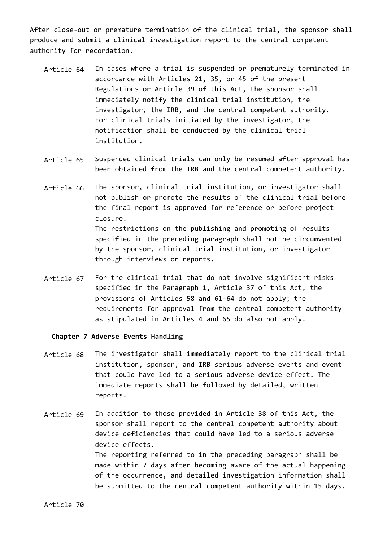After close-out or premature termination of the clinical trial, the sponsor shall produce and submit a clinical investigation report to the central competent authority for recordation.

- Article 64 In cases where a trial is suspended or prematurely terminated in accordance with Articles 21, 35, or 45 of the present Regulations or Article 39 of this Act, the sponsor shall immediately notify the clinical trial institution, the investigator, the IRB, and the central competent authority. For clinical trials initiated by the investigator, the notification shall be conducted by the clinical trial institution.
- Article 65 Suspended clinical trials can only be resumed after approval has been obtained from the IRB and the central competent authority.
- Article 66 The sponsor, clinical trial institution, or investigator shall not publish or promote the results of the clinical trial before the final report is approved for reference or before project closure. The restrictions on the publishing and promoting of results specified in the preceding paragraph shall not be circumvented by the sponsor, clinical trial institution, or investigator through interviews or reports.
- Article 67 For the clinical trial that do not involve significant risks specified in the Paragraph 1, Article 37 of this Act, the provisions of Articles 58 and 61–64 do not apply; the requirements for approval from the central competent authority as stipulated in Articles 4 and 65 do also not apply.

### **Chapter 7 Adverse Events Handling**

- Article 68 The investigator shall immediately report to the clinical trial institution, sponsor, and IRB serious adverse events and event that could have led to a serious adverse device effect. The immediate reports shall be followed by detailed, written reports.
- Article 69 In addition to those provided in Article 38 of this Act, the sponsor shall report to the central competent authority about device deficiencies that could have led to a serious adverse device effects. The reporting referred to in the preceding paragraph shall be made within 7 days after becoming aware of the actual happening of the occurrence, and detailed investigation information shall be submitted to the central competent authority within 15 days.